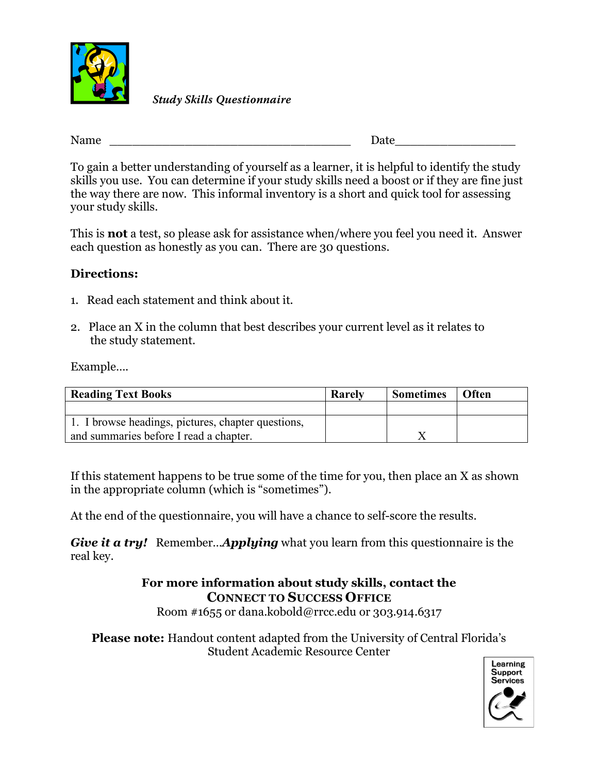

**Study Skills Questionnaire**

Name \_\_\_\_\_\_\_\_\_\_\_\_\_\_\_\_\_\_\_\_\_\_\_\_\_\_\_\_\_\_\_\_ Date\_\_\_\_\_\_\_\_\_\_\_\_\_\_\_\_

To gain a better understanding of yourself as a learner, it is helpful to identify the study skills you use. You can determine if your study skills need a boost or if they are fine just the way there are now. This informal inventory is a short and quick tool for assessing your study skills.

This is **not** a test, so please ask for assistance when/where you feel you need it. Answer each question as honestly as you can. There are 30 questions.

## **Directions:**

- 1. Read each statement and think about it.
- 2. Place an X in the column that best describes your current level as it relates to the study statement.

Example….

| <b>Reading Text Books</b>                          | Rarely | <b>Sometimes</b> | Often |
|----------------------------------------------------|--------|------------------|-------|
|                                                    |        |                  |       |
| 1. I browse headings, pictures, chapter questions, |        |                  |       |
| and summaries before I read a chapter.             |        |                  |       |

If this statement happens to be true some of the time for you, then place an X as shown in the appropriate column (which is "sometimes").

At the end of the questionnaire, you will have a chance to self-score the results.

*Give it a try!* Remember…*Applying* what you learn from this questionnaire is the real key.

## **For more information about study skills, contact the CONNECT TO SUCCESS OFFICE**

Room #1655 or dana.kobold@rrcc.edu or 303.914.6317

**Please note:** Handout content adapted from the University of Central Florida's Student Academic Resource Center

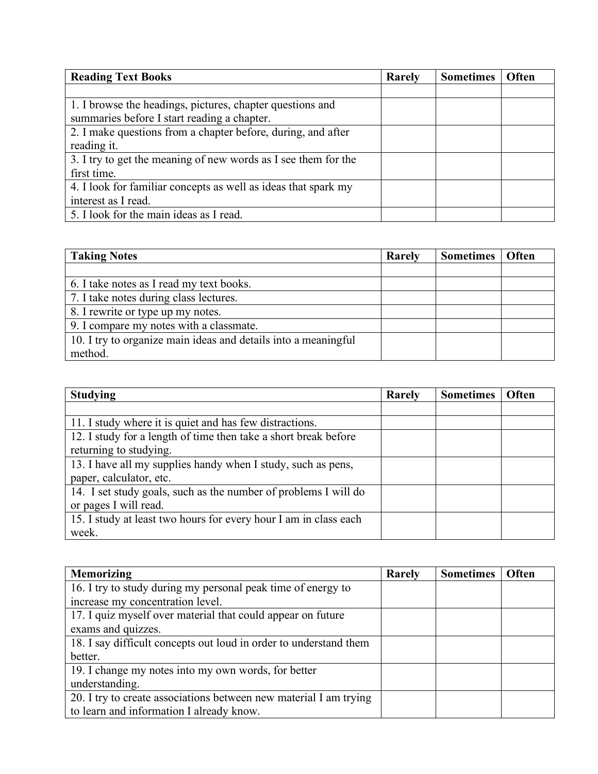| <b>Reading Text Books</b>                                      | Rarely | <b>Sometimes</b> | <b>Often</b> |
|----------------------------------------------------------------|--------|------------------|--------------|
|                                                                |        |                  |              |
| 1. I browse the headings, pictures, chapter questions and      |        |                  |              |
| summaries before I start reading a chapter.                    |        |                  |              |
| 2. I make questions from a chapter before, during, and after   |        |                  |              |
| reading it.                                                    |        |                  |              |
| 3. I try to get the meaning of new words as I see them for the |        |                  |              |
| first time.                                                    |        |                  |              |
| 4. I look for familiar concepts as well as ideas that spark my |        |                  |              |
| interest as I read.                                            |        |                  |              |
| 5. I look for the main ideas as I read.                        |        |                  |              |

| <b>Taking Notes</b>                                            | Rarely | Sometimes   Often |  |
|----------------------------------------------------------------|--------|-------------------|--|
|                                                                |        |                   |  |
| 6. I take notes as I read my text books.                       |        |                   |  |
| 7. I take notes during class lectures.                         |        |                   |  |
| 8. I rewrite or type up my notes.                              |        |                   |  |
| 9. I compare my notes with a classmate.                        |        |                   |  |
| 10. I try to organize main ideas and details into a meaningful |        |                   |  |
| method.                                                        |        |                   |  |

| <b>Studying</b>                                                  | Rarely | <b>Sometimes</b> | <b>Often</b> |
|------------------------------------------------------------------|--------|------------------|--------------|
|                                                                  |        |                  |              |
| 11. I study where it is quiet and has few distractions.          |        |                  |              |
| 12. I study for a length of time then take a short break before  |        |                  |              |
| returning to studying.                                           |        |                  |              |
| 13. I have all my supplies handy when I study, such as pens,     |        |                  |              |
| paper, calculator, etc.                                          |        |                  |              |
| 14. I set study goals, such as the number of problems I will do  |        |                  |              |
| or pages I will read.                                            |        |                  |              |
| 15. I study at least two hours for every hour I am in class each |        |                  |              |
| week.                                                            |        |                  |              |

| <b>Memorizing</b>                                                 | Rarely | <b>Sometimes</b> | <b>Often</b> |
|-------------------------------------------------------------------|--------|------------------|--------------|
| 16. I try to study during my personal peak time of energy to      |        |                  |              |
| increase my concentration level.                                  |        |                  |              |
| 17. I quiz myself over material that could appear on future       |        |                  |              |
| exams and quizzes.                                                |        |                  |              |
| 18. I say difficult concepts out loud in order to understand them |        |                  |              |
| better.                                                           |        |                  |              |
| 19. I change my notes into my own words, for better               |        |                  |              |
| understanding.                                                    |        |                  |              |
| 20. I try to create associations between new material I am trying |        |                  |              |
| to learn and information I already know.                          |        |                  |              |